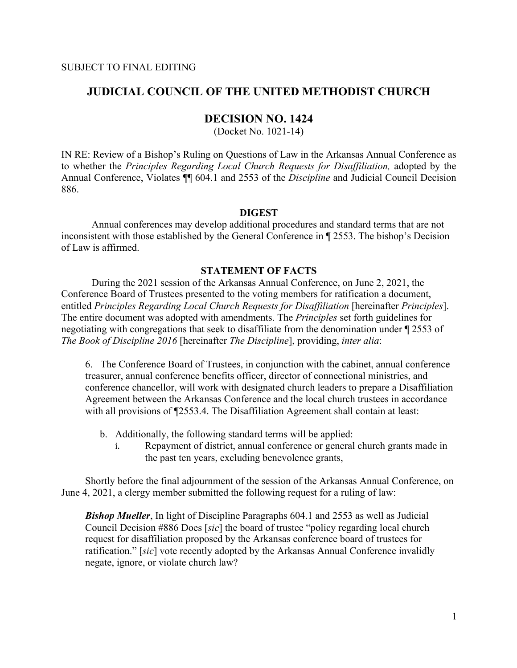# **JUDICIAL COUNCIL OF THE UNITED METHODIST CHURCH**

### **DECISION NO. 1424**

(Docket No. 1021-14)

IN RE: Review of a Bishop's Ruling on Questions of Law in the Arkansas Annual Conference as to whether the *Principles Regarding Local Church Requests for Disaffiliation,* adopted by the Annual Conference, Violates ¶¶ 604.1 and 2553 of the *Discipline* and Judicial Council Decision 886.

#### **DIGEST**

Annual conferences may develop additional procedures and standard terms that are not inconsistent with those established by the General Conference in ¶ 2553. The bishop's Decision of Law is affirmed.

# **STATEMENT OF FACTS**

During the 2021 session of the Arkansas Annual Conference, on June 2, 2021, the Conference Board of Trustees presented to the voting members for ratification a document, entitled *Principles Regarding Local Church Requests for Disaffiliation* [hereinafter *Principles*]. The entire document was adopted with amendments. The *Principles* set forth guidelines for negotiating with congregations that seek to disaffiliate from the denomination under ¶ 2553 of *The Book of Discipline 2016* [hereinafter *The Discipline*], providing, *inter alia*:

6. The Conference Board of Trustees, in conjunction with the cabinet, annual conference treasurer, annual conference benefits officer, director of connectional ministries, and conference chancellor, will work with designated church leaders to prepare a Disaffiliation Agreement between the Arkansas Conference and the local church trustees in accordance with all provisions of  $\square$ 2553.4. The Disaffiliation Agreement shall contain at least:

- b. Additionally, the following standard terms will be applied:
	- i. Repayment of district, annual conference or general church grants made in the past ten years, excluding benevolence grants,

Shortly before the final adjournment of the session of the Arkansas Annual Conference, on June 4, 2021, a clergy member submitted the following request for a ruling of law:

**Bishop Mueller**, In light of Discipline Paragraphs 604.1 and 2553 as well as Judicial Council Decision #886 Does [*sic*] the board of trustee "policy regarding local church request for disaffiliation proposed by the Arkansas conference board of trustees for ratification." [*sic*] vote recently adopted by the Arkansas Annual Conference invalidly negate, ignore, or violate church law?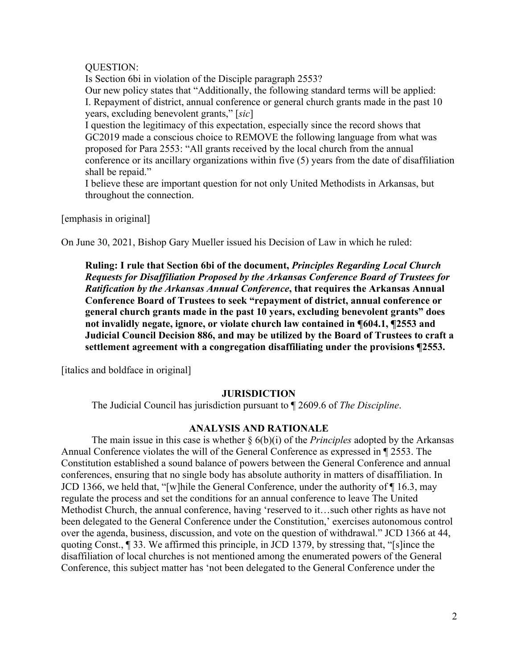## QUESTION:

Is Section 6bi in violation of the Disciple paragraph 2553? Our new policy states that "Additionally, the following standard terms will be applied: I. Repayment of district, annual conference or general church grants made in the past 10 years, excluding benevolent grants," [*sic*]

I question the legitimacy of this expectation, especially since the record shows that GC2019 made a conscious choice to REMOVE the following language from what was proposed for Para 2553: "All grants received by the local church from the annual conference or its ancillary organizations within five (5) years from the date of disaffiliation shall be repaid."

I believe these are important question for not only United Methodists in Arkansas, but throughout the connection.

[emphasis in original]

On June 30, 2021, Bishop Gary Mueller issued his Decision of Law in which he ruled:

**Ruling: I rule that Section 6bi of the document,** *Principles Regarding Local Church Requests for Disaffiliation Proposed by the Arkansas Conference Board of Trustees for Ratification by the Arkansas Annual Conference***, that requires the Arkansas Annual Conference Board of Trustees to seek "repayment of district, annual conference or general church grants made in the past 10 years, excluding benevolent grants" does not invalidly negate, ignore, or violate church law contained in ¶604.1, ¶2553 and Judicial Council Decision 886, and may be utilized by the Board of Trustees to craft a settlement agreement with a congregation disaffiliating under the provisions ¶2553.**

[italics and boldface in original]

## **JURISDICTION**

The Judicial Council has jurisdiction pursuant to ¶ 2609.6 of *The Discipline*.

#### **ANALYSIS AND RATIONALE**

The main issue in this case is whether § 6(b)(i) of the *Principles* adopted by the Arkansas Annual Conference violates the will of the General Conference as expressed in ¶ 2553. The Constitution established a sound balance of powers between the General Conference and annual conferences, ensuring that no single body has absolute authority in matters of disaffiliation. In JCD 1366, we held that, "[w]hile the General Conference, under the authority of ¶ 16.3, may regulate the process and set the conditions for an annual conference to leave The United Methodist Church, the annual conference, having 'reserved to it…such other rights as have not been delegated to the General Conference under the Constitution,' exercises autonomous control over the agenda, business, discussion, and vote on the question of withdrawal." JCD 1366 at 44, quoting Const., ¶ 33. We affirmed this principle, in JCD 1379, by stressing that, "[s]ince the disaffiliation of local churches is not mentioned among the enumerated powers of the General Conference, this subject matter has 'not been delegated to the General Conference under the